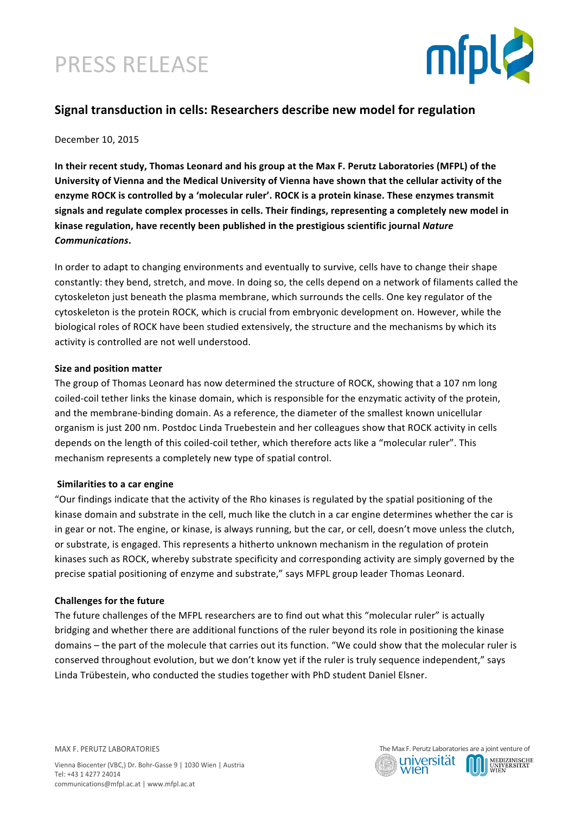# PRESS RELEASE



### **Signal transduction in cells: Researchers describe new model for regulation**

December 10, 2015

In their recent study, Thomas Leonard and his group at the Max F. Perutz Laboratories (MFPL) of the University of Vienna and the Medical University of Vienna have shown that the cellular activity of the enzyme ROCK is controlled by a 'molecular ruler'. ROCK is a protein kinase. These enzymes transmit signals and regulate complex processes in cells. Their findings, representing a completely new model in kinase regulation, have recently been published in the prestigious scientific journal Nature *Communications***.** 

In order to adapt to changing environments and eventually to survive, cells have to change their shape constantly: they bend, stretch, and move. In doing so, the cells depend on a network of filaments called the cytoskeleton just beneath the plasma membrane, which surrounds the cells. One key regulator of the cytoskeleton is the protein ROCK, which is crucial from embryonic development on. However, while the biological roles of ROCK have been studied extensively, the structure and the mechanisms by which its activity is controlled are not well understood.

### **Size and position matter**

The group of Thomas Leonard has now determined the structure of ROCK, showing that a 107 nm long coiled-coil tether links the kinase domain, which is responsible for the enzymatic activity of the protein, and the membrane-binding domain. As a reference, the diameter of the smallest known unicellular organism is just 200 nm. Postdoc Linda Truebestein and her colleagues show that ROCK activity in cells depends on the length of this coiled-coil tether, which therefore acts like a "molecular ruler". This mechanism represents a completely new type of spatial control.

### **Similarities to a car engine**

"Our findings indicate that the activity of the Rho kinases is regulated by the spatial positioning of the kinase domain and substrate in the cell, much like the clutch in a car engine determines whether the car is in gear or not. The engine, or kinase, is always running, but the car, or cell, doesn't move unless the clutch, or substrate, is engaged. This represents a hitherto unknown mechanism in the regulation of protein kinases such as ROCK, whereby substrate specificity and corresponding activity are simply governed by the precise spatial positioning of enzyme and substrate," says MFPL group leader Thomas Leonard.

### **Challenges for the future**

The future challenges of the MFPL researchers are to find out what this "molecular ruler" is actually bridging and whether there are additional functions of the ruler beyond its role in positioning the kinase domains – the part of the molecule that carries out its function. "We could show that the molecular ruler is conserved throughout evolution, but we don't know yet if the ruler is truly sequence independent," says Linda Trübestein, who conducted the studies together with PhD student Daniel Elsner.

MAX F. PERUTZ LABORATORIES

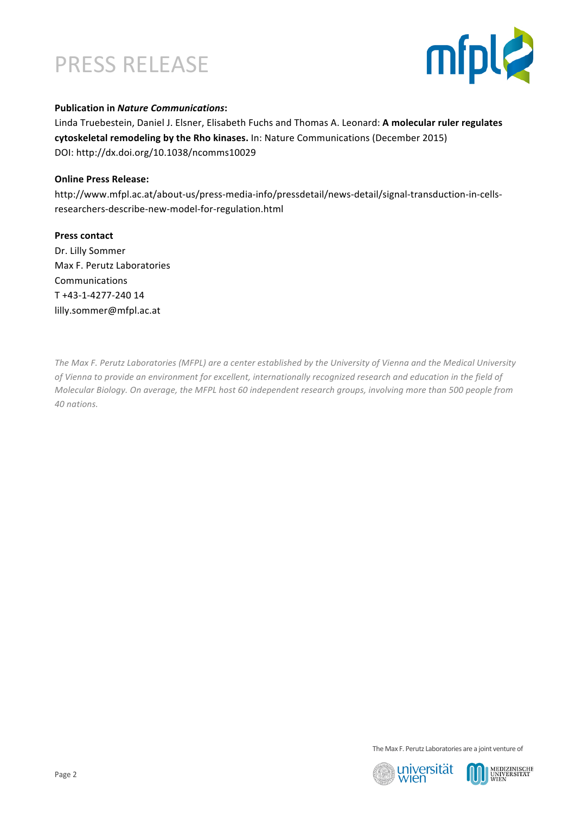## PRESS RELEASE



### **Publication in Nature Communications:**

Linda Truebestein, Daniel J. Elsner, Elisabeth Fuchs and Thomas A. Leonard: A molecular ruler regulates cytoskeletal remodeling by the Rho kinases. In: Nature Communications (December 2015) [DOI: http://dx.doi.org/10.1038/ncomms10029](http://www.nature.com/ncomms/2015/151201/ncomms10029/full/ncomms10029.html)

#### **Online Press Release:**

[http://www.mfpl.ac.at/about-us/press-media-info/pressdetail/news-detail/signal-transduction-in-cells](http://www.mfpl.ac.at/about-us/press-media-info/pressdetail/news-detail/signal-transduction-in-cells-researchers-describe-new-model-for-regulation.html)researchers-describe-new-model-for-regulation.html

#### **Press contact**

Dr. Lilly Sommer Max F. Perutz Laboratories Communications T +43-1-4277-240 14 lilly.sommer@mfpl.ac.at

The Max F. Perutz Laboratories (MFPL) are a center established by the University of Vienna and the Medical University of Vienna to provide an environment for excellent, internationally recognized research and education in the field of *Molecular Biology. On average, the MFPL host 60 independent research groups, involving more than 500 people from 40 nations.*

The Max F. Perutz Laboratories are a joint venture of